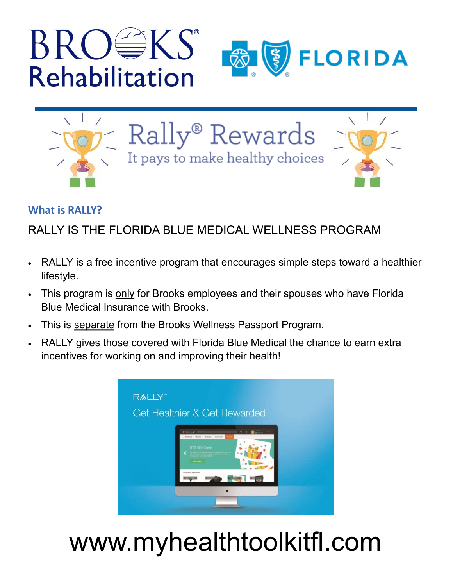





Rally® Rewards It pays to make healthy choices



#### **What is RALLY?**

## RALLY IS THE FLORIDA BLUE MEDICAL WELLNESS PROGRAM

- RALLY is a free incentive program that encourages simple steps toward a healthier lifestyle.
- This program is only for Brooks employees and their spouses who have Florida Blue Medical Insurance with Brooks.
- This is separate from the Brooks Wellness Passport Program.
- RALLY gives those covered with Florida Blue Medical the chance to earn extra incentives for working on and improving their health!



# www.myhealthtoolkitfl.com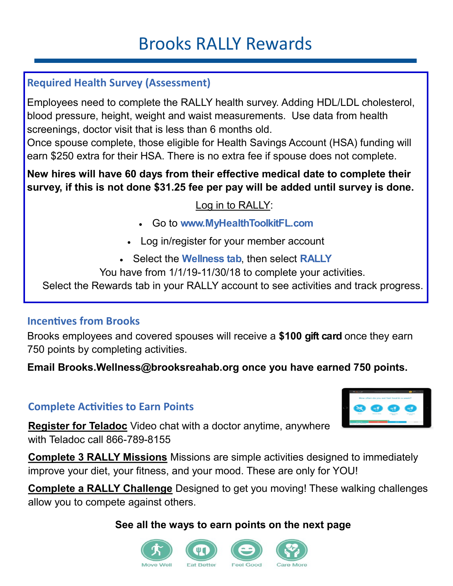# Brooks RALLY Rewards

### **Required Health Survey (Assessment)**

Employees need to complete the RALLY health survey. Adding HDL/LDL cholesterol, blood pressure, height, weight and waist measurements. Use data from health screenings, doctor visit that is less than 6 months old.

Once spouse complete, those eligible for Health Savings Account (HSA) funding will earn \$250 extra for their HSA. There is no extra fee if spouse does not complete.

**New hires will have 60 days from their effective medical date to complete their survey, if this is not done \$31.25 fee per pay will be added until survey is done.** 

#### Log in to RALLY:

- Go to **www.MyHealthToolkitFL.com**
- Log in/register for your member account
- Select the **Wellness tab**, then select **RALLY**
- You have from 1/1/19-11/30/18 to complete your activities.

Select the Rewards tab in your RALLY account to see activities and track progress.

#### **Incentives from Brooks**

Brooks employees and covered spouses will receive a **\$100 gift card** once they earn 750 points by completing activities.

**Email Brooks.Wellness@brooksreahab.org once you have earned 750 points.**

#### **Complete Activities to Earn Points**

**Register for Teladoc** Video chat with a doctor anytime, anywhere with Teladoc call 866-789-8155

**Complete 3 RALLY Missions** Missions are simple activities designed to immediately improve your diet, your fitness, and your mood. These are only for YOU!

**Complete a RALLY Challenge** Designed to get you moving! These walking challenges allow you to compete against others.

#### **See all the ways to earn points on the next page**



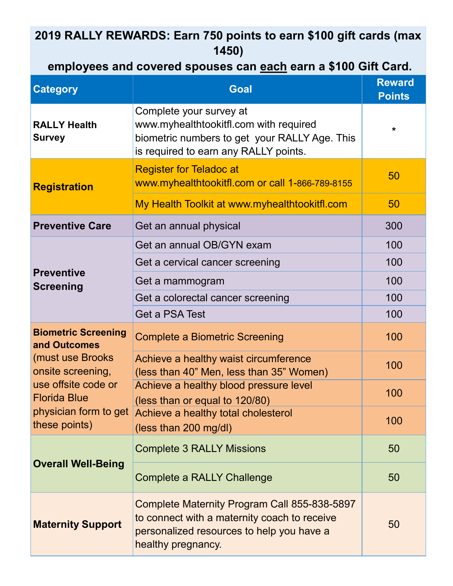### **2019 RALLY REWARDS: Earn 750 points to earn \$100 gift cards (max 1450)**

### **employees and covered spouses can each earn a \$100 Gift Card.**

| <b>Category</b>                                                                                                                                                             | <b>Goal</b>                                                                                                                                                     | <b>Reward</b><br><b>Points</b> |
|-----------------------------------------------------------------------------------------------------------------------------------------------------------------------------|-----------------------------------------------------------------------------------------------------------------------------------------------------------------|--------------------------------|
| <b>RALLY Health</b><br><b>Survey</b>                                                                                                                                        | Complete your survey at<br>www.myhealthtookitfl.com with required<br>biometric numbers to get your RALLY Age. This<br>is required to earn any RALLY points.     | $\star$                        |
| <b>Registration</b>                                                                                                                                                         | <b>Register for Teladoc at</b><br>www.myhealthtookitfl.com or call 1-866-789-8155<br>My Health Toolkit at www.myhealthtookitfl.com                              | 50<br>50                       |
|                                                                                                                                                                             |                                                                                                                                                                 |                                |
| <b>Preventive Care</b>                                                                                                                                                      | Get an annual physical                                                                                                                                          | 300                            |
| <b>Preventive</b><br><b>Screening</b>                                                                                                                                       | Get an annual OB/GYN exam                                                                                                                                       | 100                            |
|                                                                                                                                                                             | Get a cervical cancer screening                                                                                                                                 | 100                            |
|                                                                                                                                                                             | Get a mammogram                                                                                                                                                 | 100                            |
|                                                                                                                                                                             | Get a colorectal cancer screening                                                                                                                               | 100                            |
|                                                                                                                                                                             | Get a PSA Test                                                                                                                                                  | 100                            |
| <b>Biometric Screening</b><br>and Outcomes<br>(must use Brooks<br>onsite screening,<br>use offsite code or<br><b>Florida Blue</b><br>physician form to get<br>these points) | <b>Complete a Biometric Screening</b>                                                                                                                           | 100                            |
|                                                                                                                                                                             | Achieve a healthy waist circumference<br>(less than 40" Men, less than 35" Women)                                                                               | 100                            |
|                                                                                                                                                                             | Achieve a healthy blood pressure level<br>(less than or equal to 120/80)                                                                                        | 100                            |
|                                                                                                                                                                             | Achieve a healthy total cholesterol<br>(less than 200 mg/dl)                                                                                                    | 100                            |
| <b>Overall Well-Being</b>                                                                                                                                                   | <b>Complete 3 RALLY Missions</b>                                                                                                                                | 50                             |
|                                                                                                                                                                             | <b>Complete a RALLY Challenge</b>                                                                                                                               | 50                             |
| <b>Maternity Support</b>                                                                                                                                                    | Complete Maternity Program Call 855-838-5897<br>to connect with a maternity coach to receive<br>personalized resources to help you have a<br>healthy pregnancy. | 50                             |